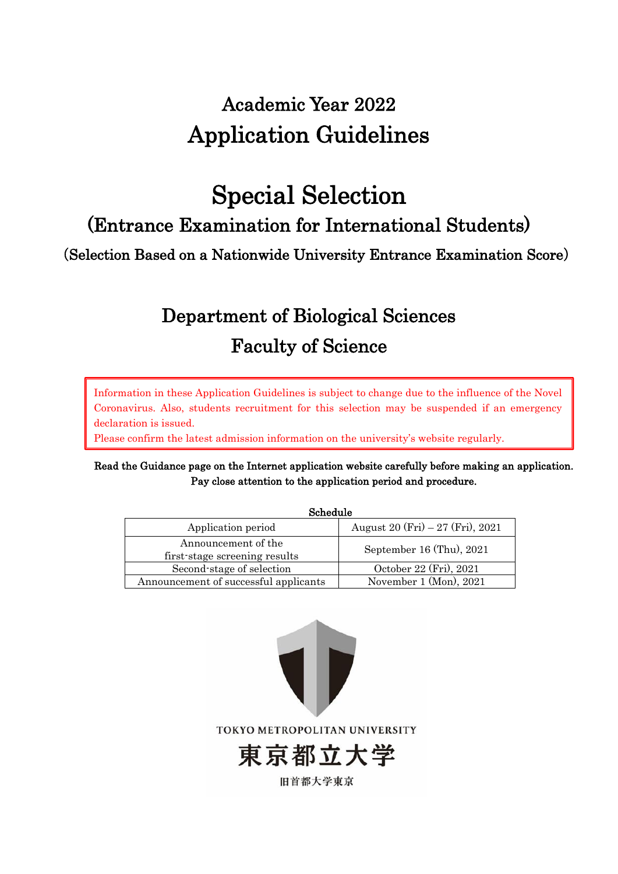# Academic Year 2022 Application Guidelines

# Special Selection

(Entrance Examination for International Students)

(Selection Based on a Nationwide University Entrance Examination Score)

# Department of Biological Sciences Faculty of Science

Information in these Application Guidelines is subject to change due to the influence of the Novel Coronavirus. Also, students recruitment for this selection may be suspended if an emergency declaration is issued.

Please confirm the latest admission information on the university's website regularly.

# Read the Guidance page on the Internet application website carefully before making an application. Pay close attention to the application period and procedure.

| Schedule                                             |                                   |  |
|------------------------------------------------------|-----------------------------------|--|
| Application period                                   | August 20 (Fri) $-27$ (Fri), 2021 |  |
| Announcement of the<br>first-stage screening results | September 16 (Thu), 2021          |  |
| Second-stage of selection                            | October 22 (Fri), 2021            |  |
| Announcement of successful applicants                | November 1 (Mon), 2021            |  |

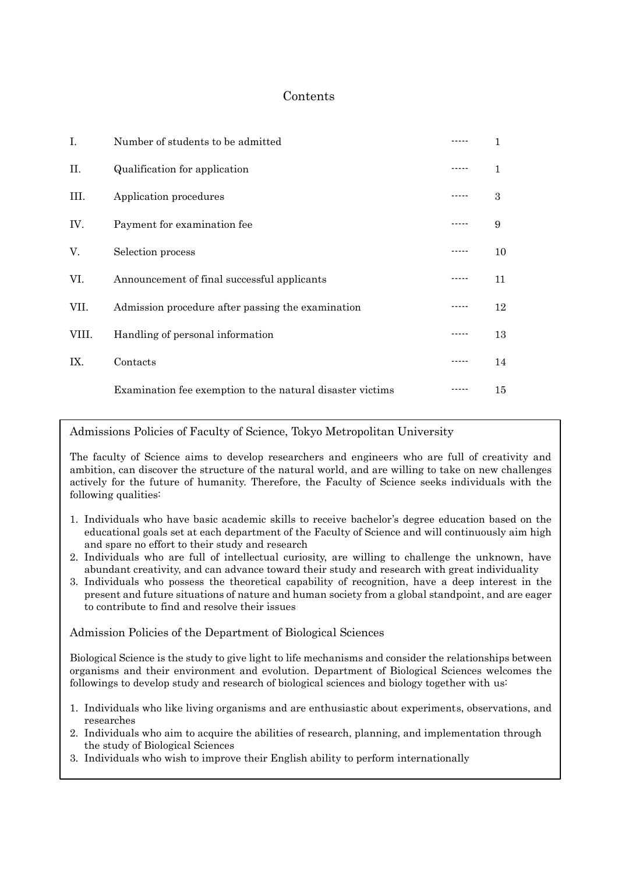# Contents

| Ι.    | Number of students to be admitted                         |    |
|-------|-----------------------------------------------------------|----|
| П.    | Qualification for application                             | 1  |
| III.  | Application procedures                                    | 3  |
| IV.   | Payment for examination fee                               | 9  |
| V.    | Selection process                                         | 10 |
| VI.   | Announcement of final successful applicants               | 11 |
| VII.  | Admission procedure after passing the examination         | 12 |
| VIII. | Handling of personal information                          | 13 |
| IX.   | Contacts                                                  | 14 |
|       | Examination fee exemption to the natural disaster victims | 15 |

Admissions Policies of Faculty of Science, Tokyo Metropolitan University

The faculty of Science aims to develop researchers and engineers who are full of creativity and ambition, can discover the structure of the natural world, and are willing to take on new challenges actively for the future of humanity. Therefore, the Faculty of Science seeks individuals with the following qualities:

- 1. Individuals who have basic academic skills to receive bachelor's degree education based on the educational goals set at each department of the Faculty of Science and will continuously aim high and spare no effort to their study and research
- 2. Individuals who are full of intellectual curiosity, are willing to challenge the unknown, have abundant creativity, and can advance toward their study and research with great individuality
- 3. Individuals who possess the theoretical capability of recognition, have a deep interest in the present and future situations of nature and human society from a global standpoint, and are eager to contribute to find and resolve their issues

Admission Policies of the Department of Biological Sciences

Biological Science is the study to give light to life mechanisms and consider the relationships between organisms and their environment and evolution. Department of Biological Sciences welcomes the followings to develop study and research of biological sciences and biology together with us:

- 1. Individuals who like living organisms and are enthusiastic about experiments, observations, and researches
- 2. Individuals who aim to acquire the abilities of research, planning, and implementation through the study of Biological Sciences
- 3. Individuals who wish to improve their English ability to perform internationally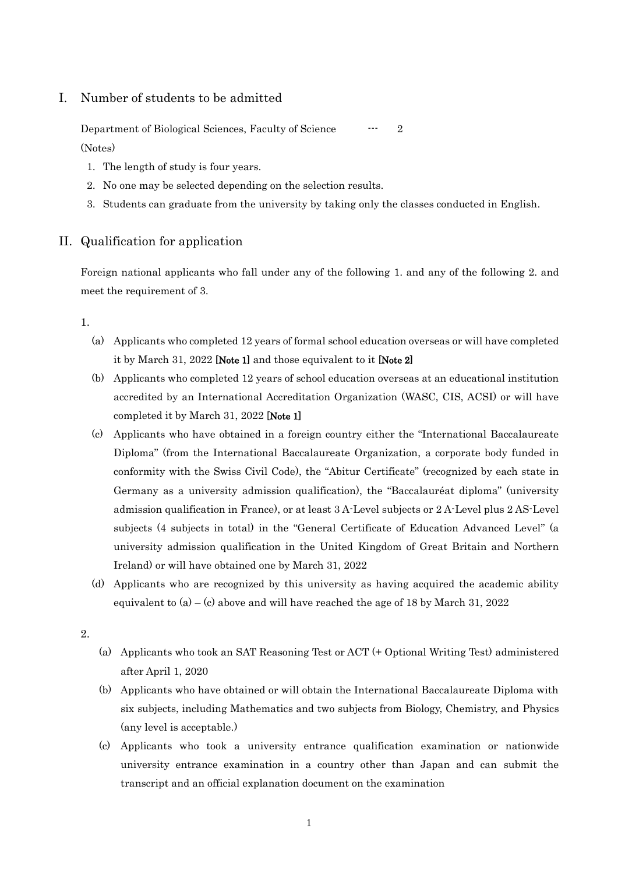### I. Number of students to be admitted

Department of Biological Sciences, Faculty of Science --- 2 (Notes)

- 1. The length of study is four years.
- 2. No one may be selected depending on the selection results.
- 3. Students can graduate from the university by taking only the classes conducted in English.

#### II. Qualification for application

Foreign national applicants who fall under any of the following 1. and any of the following 2. and meet the requirement of 3.

1.

- (a) Applicants who completed 12 years of formal school education overseas or will have completed it by March 31, 2022 [Note 1] and those equivalent to it [Note 2]
- (b) Applicants who completed 12 years of school education overseas at an educational institution accredited by an International Accreditation Organization (WASC, CIS, ACSI) or will have completed it by March 31, 2022 [Note 1]
- (c) Applicants who have obtained in a foreign country either the "International Baccalaureate Diploma" (from the International Baccalaureate Organization, a corporate body funded in conformity with the Swiss Civil Code), the "Abitur Certificate" (recognized by each state in Germany as a university admission qualification), the "Baccalauréat diploma" (university admission qualification in France), or at least 3 A-Level subjects or 2 A-Level plus 2 AS-Level subjects (4 subjects in total) in the "General Certificate of Education Advanced Level" (a university admission qualification in the United Kingdom of Great Britain and Northern Ireland) or will have obtained one by March 31, 2022
- (d) Applicants who are recognized by this university as having acquired the academic ability equivalent to  $(a) - (c)$  above and will have reached the age of 18 by March 31, 2022
- 2.
- (a) Applicants who took an SAT Reasoning Test or ACT (+ Optional Writing Test) administered after April 1, 2020
- (b) Applicants who have obtained or will obtain the International Baccalaureate Diploma with six subjects, including Mathematics and two subjects from Biology, Chemistry, and Physics (any level is acceptable.)
- (c) Applicants who took a university entrance qualification examination or nationwide university entrance examination in a country other than Japan and can submit the transcript and an official explanation document on the examination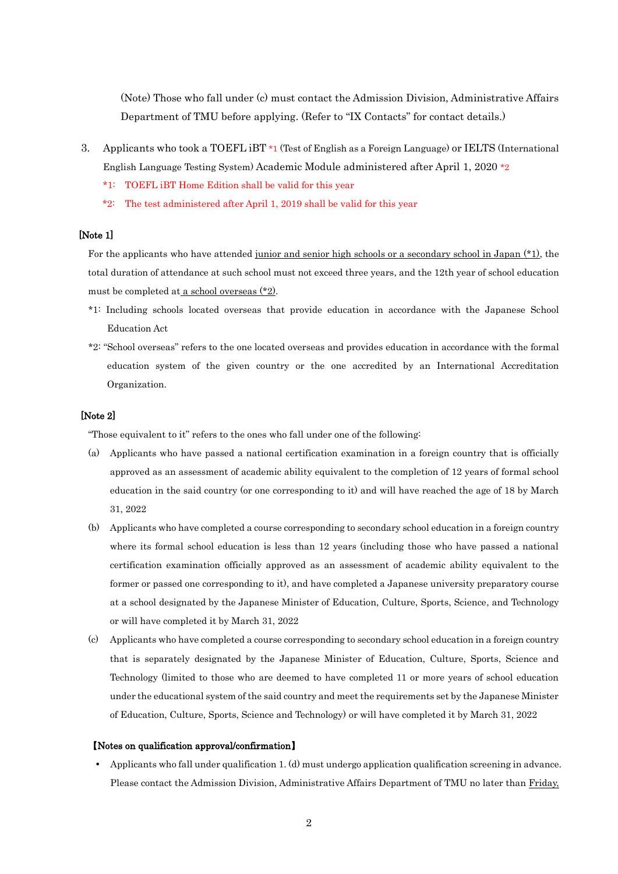(Note) Those who fall under (c) must contact the Admission Division, Administrative Affairs Department of TMU before applying. (Refer to "IX Contacts" for contact details.)

- 3. Applicants who took a TOEFL iBT \*1 (Test of English as a Foreign Language) or IELTS (International English Language Testing System) Academic Module administered after April 1, 2020 \*2
	- \*1: TOEFL iBT Home Edition shall be valid for this year
	- \*2: The test administered after April 1, 2019 shall be valid for this year

#### [Note 1]

For the applicants who have attended junior and senior high schools or a secondary school in Japan (\*1), the total duration of attendance at such school must not exceed three years, and the 12th year of school education must be completed at a school overseas (\*2).

- \*1: Including schools located overseas that provide education in accordance with the Japanese School Education Act
- \*2: "School overseas" refers to the one located overseas and provides education in accordance with the formal education system of the given country or the one accredited by an International Accreditation Organization.

#### [Note 2]

"Those equivalent to it" refers to the ones who fall under one of the following:

- (a) Applicants who have passed a national certification examination in a foreign country that is officially approved as an assessment of academic ability equivalent to the completion of 12 years of formal school education in the said country (or one corresponding to it) and will have reached the age of 18 by March 31, 2022
- (b) Applicants who have completed a course corresponding to secondary school education in a foreign country where its formal school education is less than 12 years (including those who have passed a national certification examination officially approved as an assessment of academic ability equivalent to the former or passed one corresponding to it), and have completed a Japanese university preparatory course at a school designated by the Japanese Minister of Education, Culture, Sports, Science, and Technology or will have completed it by March 31, 2022
- (c) Applicants who have completed a course corresponding to secondary school education in a foreign country that is separately designated by the Japanese Minister of Education, Culture, Sports, Science and Technology (limited to those who are deemed to have completed 11 or more years of school education under the educational system of the said country and meet the requirements set by the Japanese Minister of Education, Culture, Sports, Science and Technology) or will have completed it by March 31, 2022

#### 【Notes on qualification approval/confirmation】

 Applicants who fall under qualification 1. (d) must undergo application qualification screening in advance. Please contact the Admission Division, Administrative Affairs Department of TMU no later than Friday,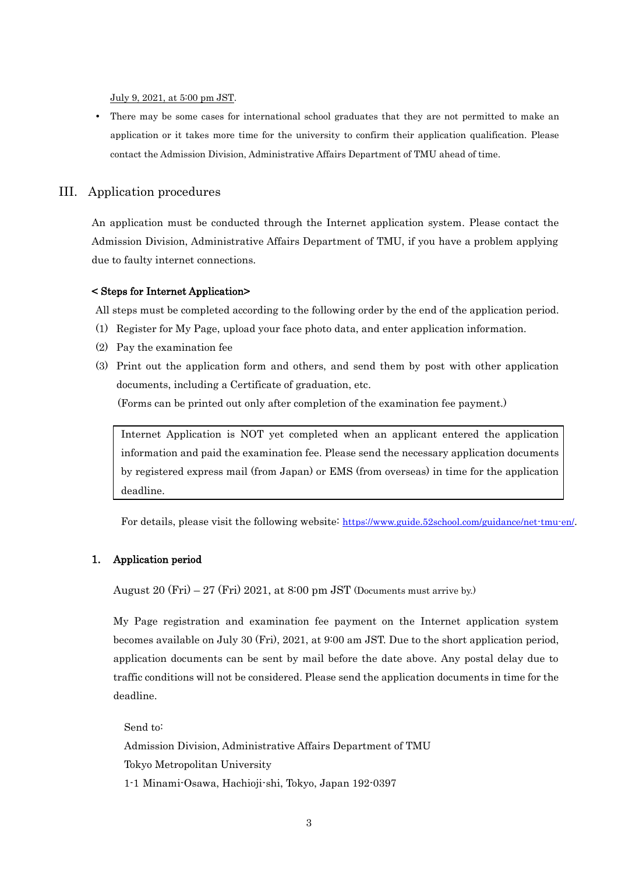July 9, 2021, at 5:00 pm JST.

 There may be some cases for international school graduates that they are not permitted to make an application or it takes more time for the university to confirm their application qualification. Please contact the Admission Division, Administrative Affairs Department of TMU ahead of time.

#### III. Application procedures

An application must be conducted through the Internet application system. Please contact the Admission Division, Administrative Affairs Department of TMU, if you have a problem applying due to faulty internet connections.

#### < Steps for Internet Application>

All steps must be completed according to the following order by the end of the application period.

- (1) Register for My Page, upload your face photo data, and enter application information.
- (2) Pay the examination fee
- (3) Print out the application form and others, and send them by post with other application documents, including a Certificate of graduation, etc. (Forms can be printed out only after completion of the examination fee payment.)

Internet Application is NOT yet completed when an applicant entered the application information and paid the examination fee. Please send the necessary application documents by registered express mail (from Japan) or EMS (from overseas) in time for the application deadline.

For details, please visit the following website: <https://www.guide.52school.com/guidance/net-tmu-en/>.

#### 1. Application period

August  $20$  (Fri)  $-27$  (Fri)  $2021$ , at  $8:00$  pm JST (Documents must arrive by.)

My Page registration and examination fee payment on the Internet application system becomes available on July 30 (Fri), 2021, at 9:00 am JST. Due to the short application period, application documents can be sent by mail before the date above. Any postal delay due to traffic conditions will not be considered. Please send the application documents in time for the deadline.

Send to: Admission Division, Administrative Affairs Department of TMU Tokyo Metropolitan University 1-1 Minami-Osawa, Hachioji-shi, Tokyo, Japan 192-0397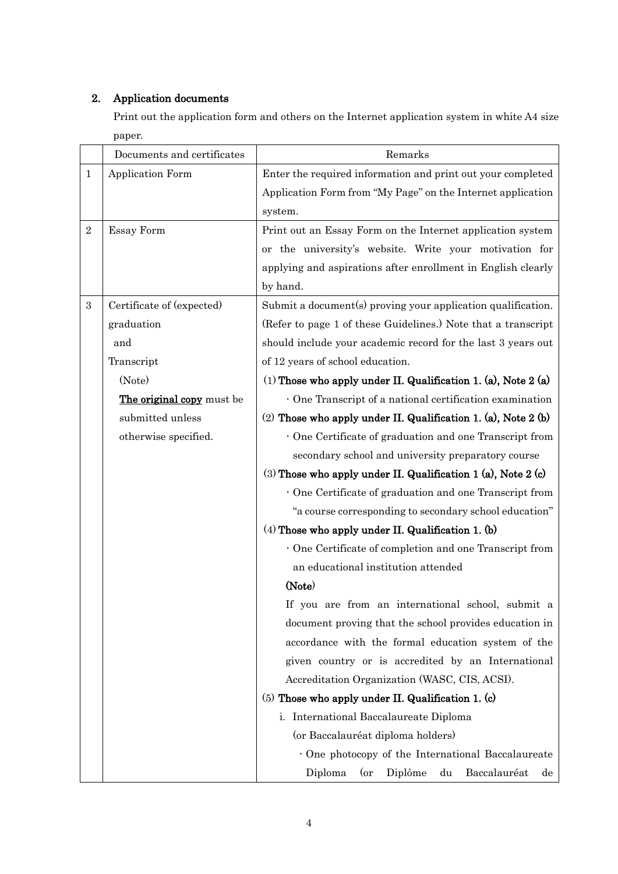# 2. Application documents

Print out the application form and others on the Internet application system in white A4 size paper.

|                  | Documents and certificates | Remarks                                                         |  |
|------------------|----------------------------|-----------------------------------------------------------------|--|
| $\mathbf{1}$     | Application Form           | Enter the required information and print out your completed     |  |
|                  |                            | Application Form from "My Page" on the Internet application     |  |
|                  |                            | system.                                                         |  |
| $\sqrt{2}$       | Essay Form                 | Print out an Essay Form on the Internet application system      |  |
|                  |                            | or the university's website. Write your motivation for          |  |
|                  |                            | applying and aspirations after enrollment in English clearly    |  |
|                  |                            | by hand.                                                        |  |
| $\boldsymbol{3}$ | Certificate of (expected)  | Submit a document(s) proving your application qualification.    |  |
|                  | graduation                 | (Refer to page 1 of these Guidelines.) Note that a transcript   |  |
|                  | and                        | should include your academic record for the last 3 years out    |  |
|                  | Transcript                 | of 12 years of school education.                                |  |
|                  | (Note)                     | (1) Those who apply under II. Qualification 1. (a), Note 2 (a)  |  |
|                  | The original copy must be  | · One Transcript of a national certification examination        |  |
|                  | submitted unless           | (2) Those who apply under II. Qualification 1. (a), Note 2 (b)  |  |
|                  | otherwise specified.       | One Certificate of graduation and one Transcript from           |  |
|                  |                            | secondary school and university preparatory course              |  |
|                  |                            | $(3)$ Those who apply under II. Qualification 1 (a), Note 2 (c) |  |
|                  |                            | One Certificate of graduation and one Transcript from           |  |
|                  |                            | "a course corresponding to secondary school education"          |  |
|                  |                            | $(4)$ Those who apply under II. Qualification 1. (b)            |  |
|                  |                            | One Certificate of completion and one Transcript from           |  |
|                  |                            | an educational institution attended                             |  |
|                  |                            | (Note)                                                          |  |
|                  |                            | If you are from an international school, submit a               |  |
|                  |                            | document proving that the school provides education in          |  |
|                  |                            | accordance with the formal education system of the              |  |
|                  |                            | given country or is accredited by an International              |  |
|                  |                            | Accreditation Organization (WASC, CIS, ACSI).                   |  |
|                  |                            | $(5)$ Those who apply under II. Qualification 1. (c)            |  |
|                  |                            | i. International Baccalaureate Diploma                          |  |
|                  |                            | (or Baccalauréat diploma holders)                               |  |
|                  |                            | One photocopy of the International Baccalaureate                |  |
|                  |                            | Diplôme<br>Baccalauréat<br>Diploma<br>(or<br>du<br>$\rm{de}$    |  |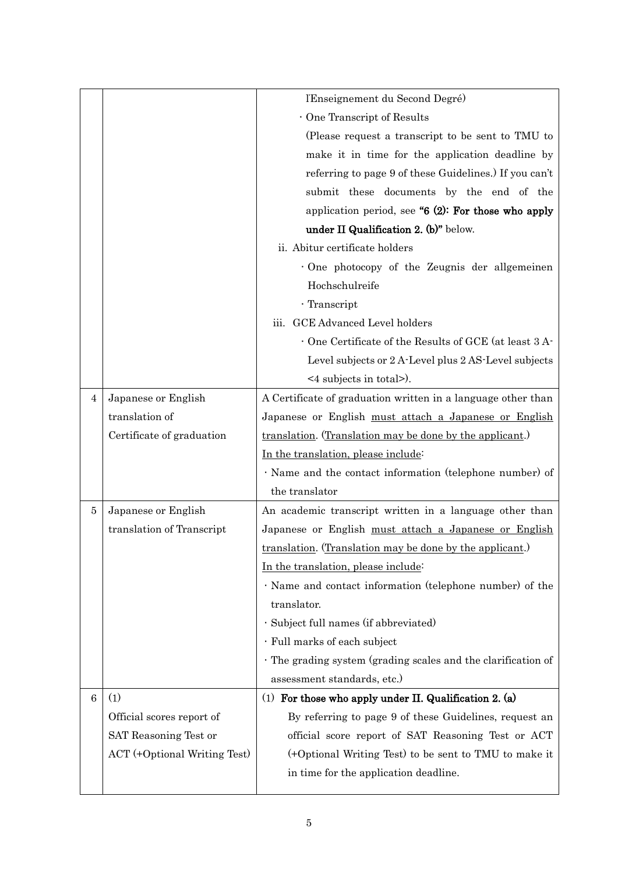|   |                              | l'Enseignement du Second Degré)                              |  |
|---|------------------------------|--------------------------------------------------------------|--|
|   |                              | One Transcript of Results                                    |  |
|   |                              | (Please request a transcript to be sent to TMU to            |  |
|   |                              | make it in time for the application deadline by              |  |
|   |                              | referring to page 9 of these Guidelines.) If you can't       |  |
|   |                              | submit these documents by the end of the                     |  |
|   |                              | application period, see " $6$ (2): For those who apply       |  |
|   |                              | under II Qualification 2. (b)" below.                        |  |
|   |                              | ii. Abitur certificate holders                               |  |
|   |                              | One photocopy of the Zeugnis der allgemeinen                 |  |
|   |                              | Hochschulreife                                               |  |
|   |                              | · Transcript                                                 |  |
|   |                              | iii. GCE Advanced Level holders                              |  |
|   |                              | One Certificate of the Results of GCE (at least 3 A-         |  |
|   |                              | Level subjects or 2 A-Level plus 2 AS-Level subjects         |  |
|   |                              | $\leq$ 4 subjects in total>).                                |  |
| 4 | Japanese or English          | A Certificate of graduation written in a language other than |  |
|   | translation of               | Japanese or English must attach a Japanese or English        |  |
|   | Certificate of graduation    | translation. (Translation may be done by the applicant.)     |  |
|   |                              | In the translation, please include:                          |  |
|   |                              | · Name and the contact information (telephone number) of     |  |
|   |                              | the translator                                               |  |
| 5 | Japanese or English          | An academic transcript written in a language other than      |  |
|   | translation of Transcript    | Japanese or English must attach a Japanese or English        |  |
|   |                              | translation. (Translation may be done by the applicant.)     |  |
|   |                              | In the translation, please include:                          |  |
|   |                              | · Name and contact information (telephone number) of the     |  |
|   |                              | translator.                                                  |  |
|   |                              | · Subject full names (if abbreviated)                        |  |
|   |                              | · Full marks of each subject                                 |  |
|   |                              | The grading system (grading scales and the clarification of  |  |
|   |                              | assessment standards, etc.)                                  |  |
| 6 | (1)                          | (1) For those who apply under II. Qualification 2. (a)       |  |
|   | Official scores report of    | By referring to page 9 of these Guidelines, request an       |  |
|   | SAT Reasoning Test or        | official score report of SAT Reasoning Test or ACT           |  |
|   | ACT (+Optional Writing Test) | (+Optional Writing Test) to be sent to TMU to make it        |  |
|   |                              | in time for the application deadline.                        |  |
|   |                              |                                                              |  |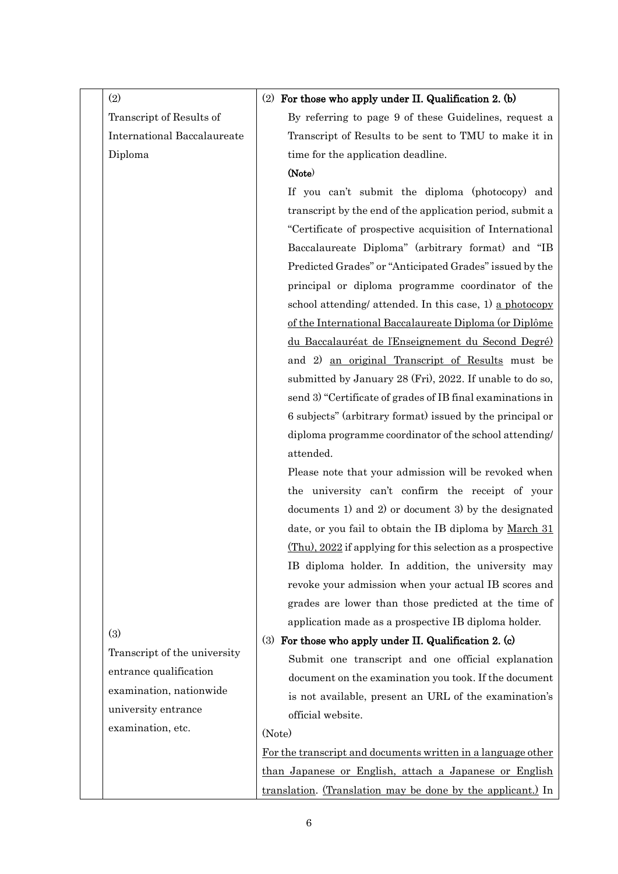| (2)                                | (2) For those who apply under II. Qualification 2. (b)              |
|------------------------------------|---------------------------------------------------------------------|
| Transcript of Results of           | By referring to page 9 of these Guidelines, request a               |
| <b>International Baccalaureate</b> | Transcript of Results to be sent to TMU to make it in               |
| Diploma                            | time for the application deadline.                                  |
|                                    | (Note)                                                              |
|                                    | If you can't submit the diploma (photocopy) and                     |
|                                    | transcript by the end of the application period, submit a           |
|                                    | "Certificate of prospective acquisition of International            |
|                                    | Baccalaureate Diploma" (arbitrary format) and "IB                   |
|                                    | Predicted Grades" or "Anticipated Grades" issued by the             |
|                                    | principal or diploma programme coordinator of the                   |
|                                    | school attending/ attended. In this case, 1) a photocopy            |
|                                    | of the International Baccalaureate Diploma (or Diplôme              |
|                                    | du Baccalauréat de l'Enseignement du Second Degré)                  |
|                                    | and 2) an original Transcript of Results must be                    |
|                                    | submitted by January 28 (Fri), 2022. If unable to do so,            |
|                                    | send 3) "Certificate of grades of IB final examinations in          |
|                                    | 6 subjects" (arbitrary format) issued by the principal or           |
|                                    | diploma programme coordinator of the school attending/              |
|                                    | attended.                                                           |
|                                    | Please note that your admission will be revoked when                |
|                                    | the university can't confirm the receipt of your                    |
|                                    | documents 1) and 2) or document 3) by the designated                |
|                                    | date, or you fail to obtain the IB diploma by March 31              |
|                                    | $(Thu)$ , 2022 if applying for this selection as a prospective      |
|                                    | IB diploma holder. In addition, the university may                  |
|                                    | revoke your admission when your actual IB scores and                |
|                                    | grades are lower than those predicted at the time of                |
| (3)                                | application made as a prospective IB diploma holder.                |
|                                    | For those who apply under II. Qualification 2. (c)<br>(3)           |
| Transcript of the university       | Submit one transcript and one official explanation                  |
| entrance qualification             | document on the examination you took. If the document               |
| examination, nationwide            | is not available, present an URL of the examination's               |
| university entrance                | official website.                                                   |
| examination, etc.                  | (Note)                                                              |
|                                    | For the transcript and documents written in a language other        |
|                                    | than Japanese or English, attach a Japanese or English              |
|                                    | <u>translation</u> . (Translation may be done by the applicant.) In |

6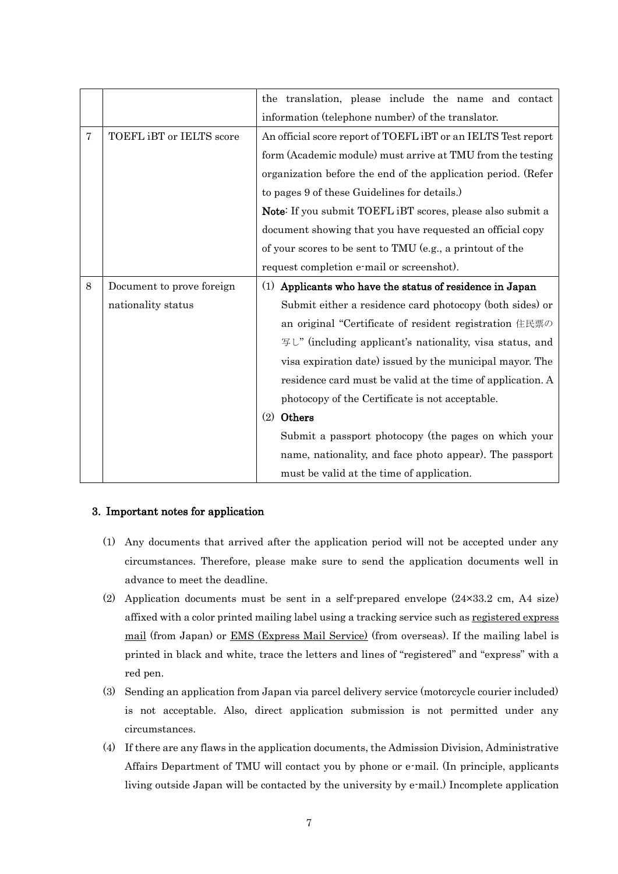|                |                           | the translation, please include the name and contact              |  |  |
|----------------|---------------------------|-------------------------------------------------------------------|--|--|
|                |                           | information (telephone number) of the translator.                 |  |  |
| $\overline{7}$ | TOEFL iBT or IELTS score  | An official score report of TOEFL iBT or an IELTS Test report     |  |  |
|                |                           | form (Academic module) must arrive at TMU from the testing        |  |  |
|                |                           | organization before the end of the application period. (Refer     |  |  |
|                |                           | to pages 9 of these Guidelines for details.)                      |  |  |
|                |                           | <b>Note:</b> If you submit TOEFL iBT scores, please also submit a |  |  |
|                |                           | document showing that you have requested an official copy         |  |  |
|                |                           | of your scores to be sent to TMU (e.g., a printout of the         |  |  |
|                |                           | request completion e-mail or screenshot).                         |  |  |
| 8              | Document to prove foreign | (1) Applicants who have the status of residence in Japan          |  |  |
|                | nationality status        | Submit either a residence card photocopy (both sides) or          |  |  |
|                |                           | an original "Certificate of resident registration 住民票の            |  |  |
|                |                           | 写し" (including applicant's nationality, visa status, and          |  |  |
|                |                           | visa expiration date) issued by the municipal mayor. The          |  |  |
|                |                           | residence card must be valid at the time of application. A        |  |  |
|                |                           | photocopy of the Certificate is not acceptable.                   |  |  |
|                |                           | Others<br>(2)                                                     |  |  |
|                |                           | Submit a passport photocopy (the pages on which your              |  |  |
|                |                           | name, nationality, and face photo appear). The passport           |  |  |
|                |                           | must be valid at the time of application.                         |  |  |

# 3. Important notes for application

- (1) Any documents that arrived after the application period will not be accepted under any circumstances. Therefore, please make sure to send the application documents well in advance to meet the deadline.
- (2) Application documents must be sent in a self-prepared envelope (24×33.2 cm, A4 size) affixed with a color printed mailing label using a tracking service such as registered express mail (from Japan) or EMS (Express Mail Service) (from overseas). If the mailing label is printed in black and white, trace the letters and lines of "registered" and "express" with a red pen.
- (3) Sending an application from Japan via parcel delivery service (motorcycle courier included) is not acceptable. Also, direct application submission is not permitted under any circumstances.
- (4) If there are any flaws in the application documents, the Admission Division, Administrative Affairs Department of TMU will contact you by phone or e-mail. (In principle, applicants living outside Japan will be contacted by the university by e-mail.) Incomplete application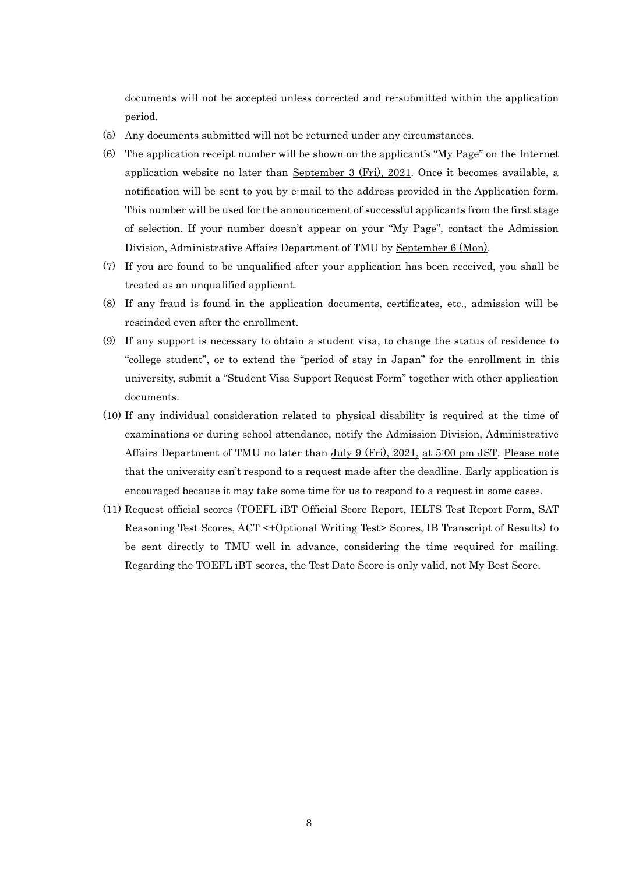documents will not be accepted unless corrected and re-submitted within the application period.

- (5) Any documents submitted will not be returned under any circumstances.
- (6) The application receipt number will be shown on the applicant's "My Page" on the Internet application website no later than September 3 (Fri), 2021. Once it becomes available, a notification will be sent to you by e-mail to the address provided in the Application form. This number will be used for the announcement of successful applicants from the first stage of selection. If your number doesn't appear on your "My Page", contact the Admission Division, Administrative Affairs Department of TMU by September 6 (Mon).
- (7) If you are found to be unqualified after your application has been received, you shall be treated as an unqualified applicant.
- (8) If any fraud is found in the application documents, certificates, etc., admission will be rescinded even after the enrollment.
- (9) If any support is necessary to obtain a student visa, to change the status of residence to "college student", or to extend the "period of stay in Japan" for the enrollment in this university, submit a "Student Visa Support Request Form" together with other application documents.
- (10) If any individual consideration related to physical disability is required at the time of examinations or during school attendance, notify the Admission Division, Administrative Affairs Department of TMU no later than July 9 (Fri), 2021, at 5:00 pm JST. Please note that the university can't respond to a request made after the deadline. Early application is encouraged because it may take some time for us to respond to a request in some cases.
- (11) Request official scores (TOEFL iBT Official Score Report, IELTS Test Report Form, SAT Reasoning Test Scores, ACT <+Optional Writing Test> Scores, IB Transcript of Results) to be sent directly to TMU well in advance, considering the time required for mailing. Regarding the TOEFL iBT scores, the Test Date Score is only valid, not My Best Score.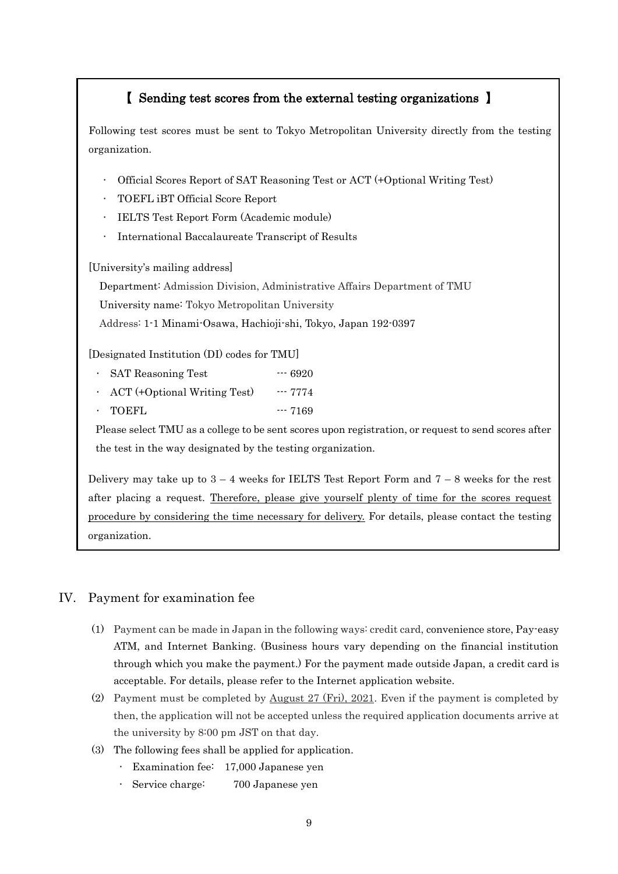# 【 Sending test scores from the external testing organizations 】

Following test scores must be sent to Tokyo Metropolitan University directly from the testing organization.

- ・ Official Scores Report of SAT Reasoning Test or ACT (+Optional Writing Test)
- ・ TOEFL iBT Official Score Report
- **IELTS Test Report Form (Academic module)**
- International Baccalaureate Transcript of Results

[University's mailing address]

Department: Admission Division, Administrative Affairs Department of TMU

University name: Tokyo Metropolitan University

Address: 1-1 Minami-Osawa, Hachioji-shi, Tokyo, Japan 192-0397

[Designated Institution (DI) codes for TMU]

- SAT Reasoning Test ---- 6920
- $\cdot$  ACT (+Optional Writing Test)  $\cdot$  --- 7774 TOEFL --- 7169

Please select TMU as a college to be sent scores upon registration, or request to send scores after the test in the way designated by the testing organization.

Delivery may take up to  $3 - 4$  weeks for IELTS Test Report Form and  $7 - 8$  weeks for the rest after placing a request. Therefore, please give yourself plenty of time for the scores request procedure by considering the time necessary for delivery. For details, please contact the testing organization.

# IV. Payment for examination fee

- (1) Payment can be made in Japan in the following ways: credit card, convenience store, Pay-easy ATM, and Internet Banking. (Business hours vary depending on the financial institution through which you make the payment.) For the payment made outside Japan, a credit card is acceptable. For details, please refer to the Internet application website.
- (2) Payment must be completed by August 27 (Fri), 2021. Even if the payment is completed by then, the application will not be accepted unless the required application documents arrive at the university by 8:00 pm JST on that day.
- (3) The following fees shall be applied for application.
	- ・ Examination fee: 17,000 Japanese yen
	- ・ Service charge: 700 Japanese yen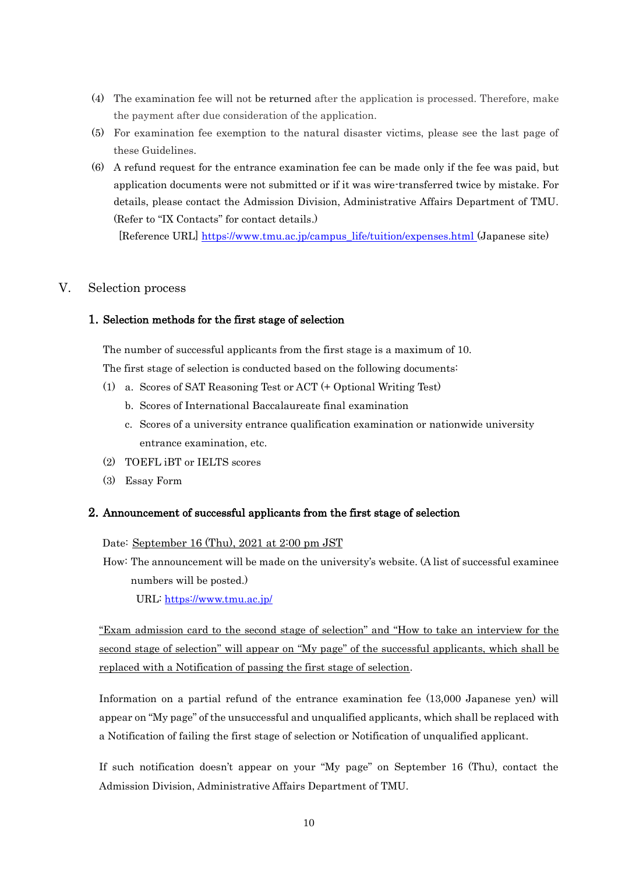- (4) The examination fee will not be returned after the application is processed. Therefore, make the payment after due consideration of the application.
- (5) For examination fee exemption to the natural disaster victims, please see the last page of these Guidelines.
- (6) A refund request for the entrance examination fee can be made only if the fee was paid, but application documents were not submitted or if it was wire-transferred twice by mistake. For details, please contact the Admission Division, Administrative Affairs Department of TMU. (Refer to "IX Contacts" for contact details.)

[Reference URL] [https://www.tmu.ac.jp/campus\\_life/tuition/expenses.html](https://www.tmu.ac.jp/campus_life/tuition/expenses.html) (Japanese site)

## V. Selection process

## 1. Selection methods for the first stage of selection

The number of successful applicants from the first stage is a maximum of 10.

The first stage of selection is conducted based on the following documents:

- (1) a. Scores of SAT Reasoning Test or ACT (+ Optional Writing Test)
	- b. Scores of International Baccalaureate final examination
	- c. Scores of a university entrance qualification examination or nationwide university entrance examination, etc.
- (2) TOEFL iBT or IELTS scores
- (3) Essay Form

#### 2. Announcement of successful applicants from the first stage of selection

Date: September 16 (Thu), 2021 at 2:00 pm JST

How: The announcement will be made on the university's website. (A list of successful examinee numbers will be posted.)

URL:<https://www.tmu.ac.jp/>

"Exam admission card to the second stage of selection" and "How to take an interview for the second stage of selection" will appear on "My page" of the successful applicants, which shall be replaced with a Notification of passing the first stage of selection.

Information on a partial refund of the entrance examination fee (13,000 Japanese yen) will appear on "My page" of the unsuccessful and unqualified applicants, which shall be replaced with a Notification of failing the first stage of selection or Notification of unqualified applicant.

If such notification doesn't appear on your "My page" on September 16 (Thu), contact the Admission Division, Administrative Affairs Department of TMU.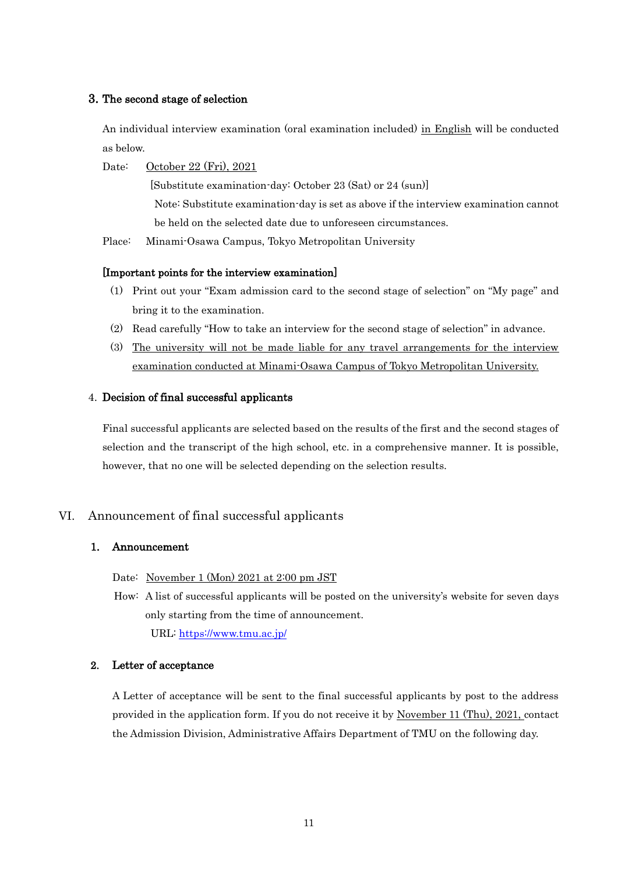#### 3. The second stage of selection

An individual interview examination (oral examination included) in English will be conducted as below.

Date: October 22 (Fri), 2021

 [Substitute examination-day: October 23 (Sat) or 24 (sun)] Note: Substitute examination-day is set as above if the interview examination cannot be held on the selected date due to unforeseen circumstances.

Place: Minami-Osawa Campus, Tokyo Metropolitan University

#### [Important points for the interview examination]

- (1) Print out your "Exam admission card to the second stage of selection" on "My page" and bring it to the examination.
- (2) Read carefully "How to take an interview for the second stage of selection" in advance.
- (3) The university will not be made liable for any travel arrangements for the interview examination conducted at Minami-Osawa Campus of Tokyo Metropolitan University.

#### 4. Decision of final successful applicants

Final successful applicants are selected based on the results of the first and the second stages of selection and the transcript of the high school, etc. in a comprehensive manner. It is possible, however, that no one will be selected depending on the selection results.

### VI. Announcement of final successful applicants

#### 1. Announcement

Date: November 1 (Mon) 2021 at 2:00 pm JST

How: A list of successful applicants will be posted on the university's website for seven days only starting from the time of announcement. URL:<https://www.tmu.ac.jp/>

#### 2. Letter of acceptance

A Letter of acceptance will be sent to the final successful applicants by post to the address provided in the application form. If you do not receive it by November 11 (Thu), 2021, contact the Admission Division, Administrative Affairs Department of TMU on the following day.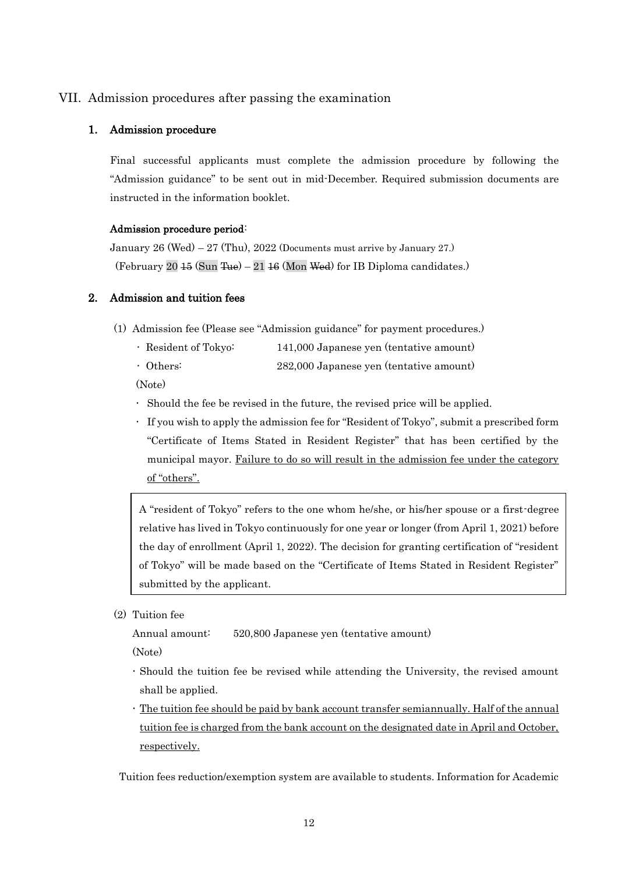## VII. Admission procedures after passing the examination

#### 1. Admission procedure

Final successful applicants must complete the admission procedure by following the "Admission guidance" to be sent out in mid-December. Required submission documents are instructed in the information booklet.

#### Admission procedure period:

January  $26 \text{ (Wed)} - 27 \text{ (Thu)}$ ,  $2022 \text{ (Documents must arrive by January 27.)}$ (February 20  $\text{45 (Sun True)} - 21 \text{ 16 (Mon Wed)}$  for IB Diploma candidates.)

#### 2. Admission and tuition fees

- (1) Admission fee (Please see "Admission guidance" for payment procedures.)
	- ・ Resident of Tokyo: 141,000 Japanese yen (tentative amount)
	- ・ Others: 282,000 Japanese yen (tentative amount)

(Note)

- Should the fee be revised in the future, the revised price will be applied.
- If you wish to apply the admission fee for "Resident of Tokyo", submit a prescribed form "Certificate of Items Stated in Resident Register" that has been certified by the municipal mayor. Failure to do so will result in the admission fee under the category of "others".

A "resident of Tokyo" refers to the one whom he/she, or his/her spouse or a first-degree relative has lived in Tokyo continuously for one year or longer (from April 1, 2021) before the day of enrollment (April 1, 2022). The decision for granting certification of "resident of Tokyo" will be made based on the "Certificate of Items Stated in Resident Register" submitted by the applicant.

(2) Tuition fee

Annual amount: 520,800 Japanese yen (tentative amount)

(Note)

- Should the tuition fee be revised while attending the University, the revised amount shall be applied.
- The tuition fee should be paid by bank account transfer semiannually. Half of the annual tuition fee is charged from the bank account on the designated date in April and October, respectively.

Tuition fees reduction/exemption system are available to students. Information for Academic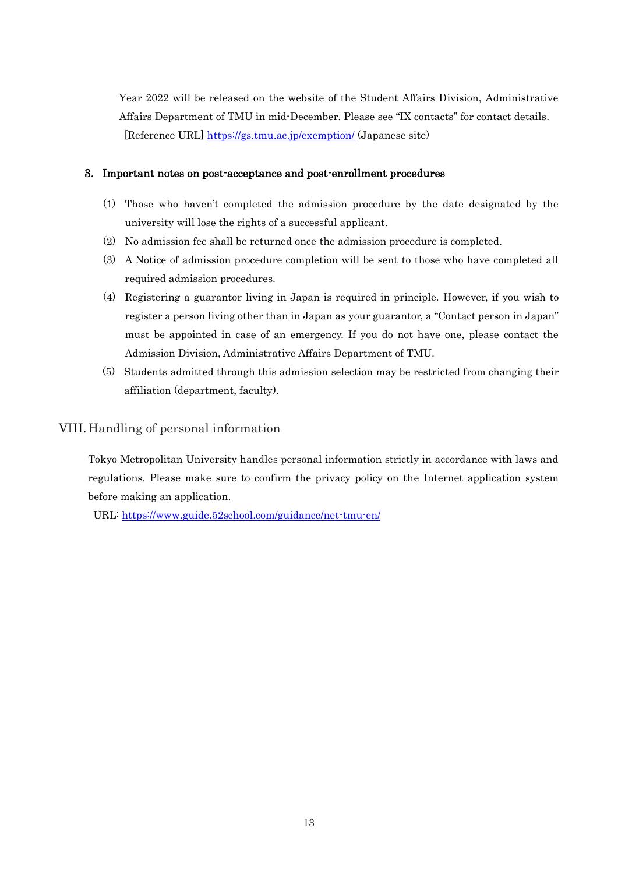Year 2022 will be released on the website of the Student Affairs Division, Administrative Affairs Department of TMU in mid-December. Please see "IX contacts" for contact details. [Reference URL] <https://gs.tmu.ac.jp/exemption/> (Japanese site)

#### 3. Important notes on post-acceptance and post-enrollment procedures

- (1) Those who haven't completed the admission procedure by the date designated by the university will lose the rights of a successful applicant.
- (2) No admission fee shall be returned once the admission procedure is completed.
- (3) A Notice of admission procedure completion will be sent to those who have completed all required admission procedures.
- (4) Registering a guarantor living in Japan is required in principle. However, if you wish to register a person living other than in Japan as your guarantor, a "Contact person in Japan" must be appointed in case of an emergency. If you do not have one, please contact the Admission Division, Administrative Affairs Department of TMU.
- (5) Students admitted through this admission selection may be restricted from changing their affiliation (department, faculty).

## VIII.Handling of personal information

Tokyo Metropolitan University handles personal information strictly in accordance with laws and regulations. Please make sure to confirm the privacy policy on the Internet application system before making an application.

URL:<https://www.guide.52school.com/guidance/net-tmu-en/>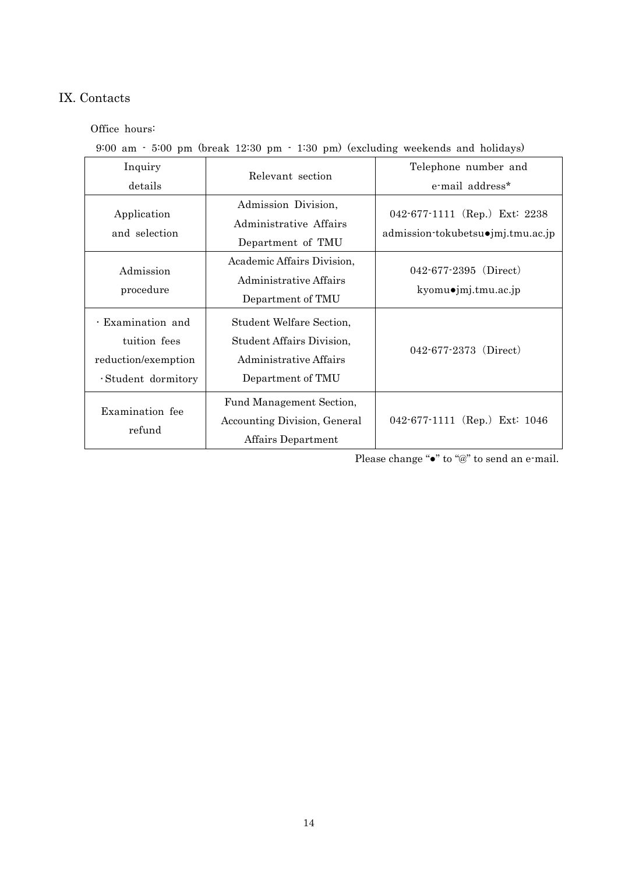# IX. Contacts

Office hours:

9:00 am - 5:00 pm (break 12:30 pm - 1:30 pm) (excluding weekends and holidays)

| Inquiry<br>details                                                              | Relevant section                                                                                     | Telephone number and<br>e-mail address*                            |
|---------------------------------------------------------------------------------|------------------------------------------------------------------------------------------------------|--------------------------------------------------------------------|
| Application<br>and selection                                                    | Admission Division,<br>Administrative Affairs<br>Department of TMU                                   | 042-677-1111 (Rep.) Ext: 2238<br>admission-tokubetsu•jmj.tmu.ac.jp |
| Admission<br>procedure                                                          | Academic Affairs Division,<br>Administrative Affairs<br>Department of TMU                            | $042 - 677 - 2395$ (Direct)<br>kyomuojmj.tmu.ac.jp                 |
| · Examination and<br>tuition fees<br>reduction/exemption<br>· Student dormitory | Student Welfare Section,<br>Student Affairs Division,<br>Administrative Affairs<br>Department of TMU | $042 - 677 - 2373$ (Direct)                                        |
| Examination fee<br>refund                                                       | Fund Management Section,<br>Accounting Division, General<br>Affairs Department                       | 042-677-1111 (Rep.) Ext: 1046                                      |

Please change "•" to "@" to send an e-mail.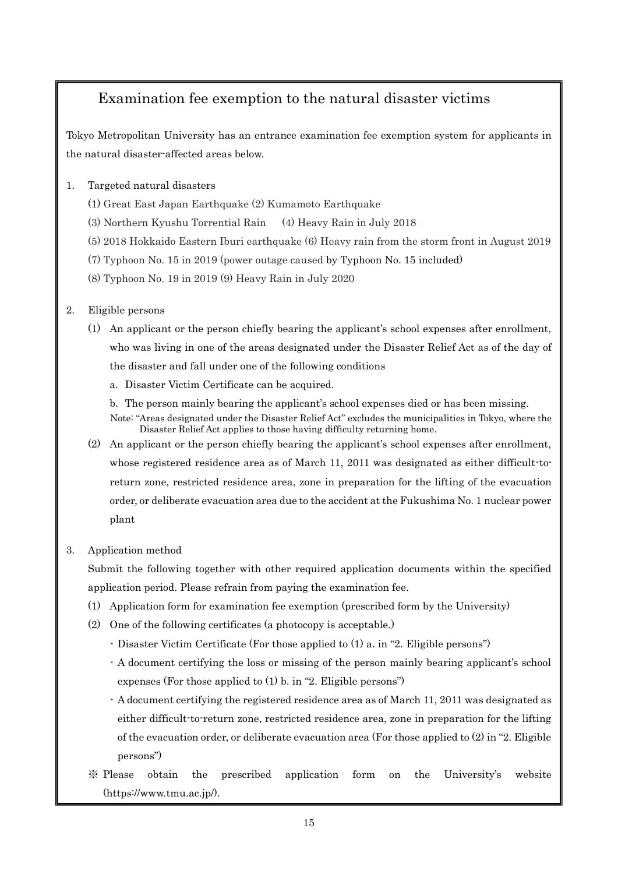# Examination fee exemption to the natural disaster victims

Tokyo Metropolitan University has an entrance examination fee exemption system for applicants in the natural disaster-affected areas below.

## 1. Targeted natural disasters

- (1) Great East Japan Earthquake (2) Kumamoto Earthquake
- (3) Northern Kyushu Torrential Rain (4) Heavy Rain in July 2018
- (5) 2018 Hokkaido Eastern Iburi earthquake (6) Heavy rain from the storm front in August 2019
- (7) Typhoon No. 15 in 2019 (power outage caused by Typhoon No. 15 included)
- (8) Typhoon No. 19 in 2019 (9) Heavy Rain in July 2020

## 2. Eligible persons

- (1) An applicant or the person chiefly bearing the applicant's school expenses after enrollment, who was living in one of the areas designated under the Disaster Relief Act as of the day of the disaster and fall under one of the following conditions
	- a. Disaster Victim Certificate can be acquired.
	- b. The person mainly bearing the applicant's school expenses died or has been missing.
	- Note: "Areas designated under the Disaster Relief Act" excludes the municipalities in Tokyo, where the Disaster Relief Act applies to those having difficulty returning home.
- (2) An applicant or the person chiefly bearing the applicant's school expenses after enrollment, whose registered residence area as of March 11, 2011 was designated as either difficult-toreturn zone, restricted residence area, zone in preparation for the lifting of the evacuation order, or deliberate evacuation area due to the accident at the Fukushima No. 1 nuclear power plant

# 3. Application method

Submit the following together with other required application documents within the specified application period. Please refrain from paying the examination fee.

- (1) Application form for examination fee exemption (prescribed form by the University)
- (2) One of the following certificates (a photocopy is acceptable.)
	- ・ Disaster Victim Certificate (For those applied to (1) a. in "2. Eligible persons")
	- ・ A document certifying the loss or missing of the person mainly bearing applicant's school expenses (For those applied to (1) b. in "2. Eligible persons")
	- ・ A document certifying the registered residence area as of March 11, 2011 was designated as either difficult-to-return zone, restricted residence area, zone in preparation for the lifting of the evacuation order, or deliberate evacuation area (For those applied to (2) in "2. Eligible persons")
- ※ Please obtain the prescribed application form on the University's website (https://www.tmu.ac.jp/).